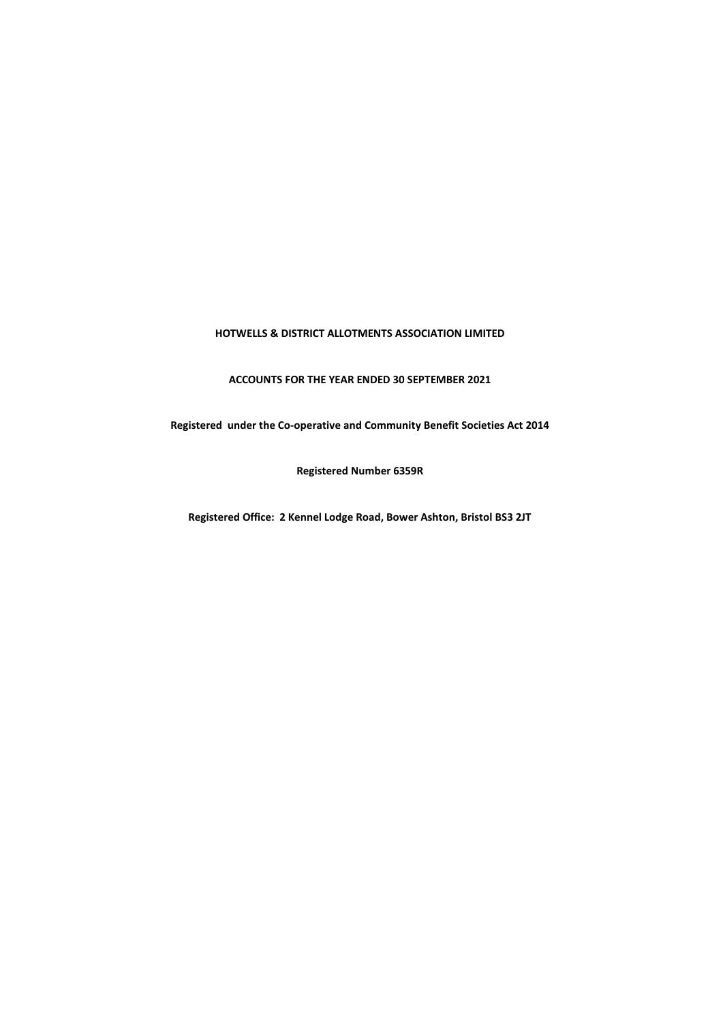## **HOTWELLS & DISTRICT ALLOTMENTS ASSOCIATION LIMITED**

**ACCOUNTS FOR THE YEAR ENDED 30 SEPTEMBER 2021**

**Registered under the Co-operative and Community Benefit Societies Act 2014**

**Registered Number 6359R**

**Registered Office: 2 Kennel Lodge Road, Bower Ashton, Bristol BS3 2JT**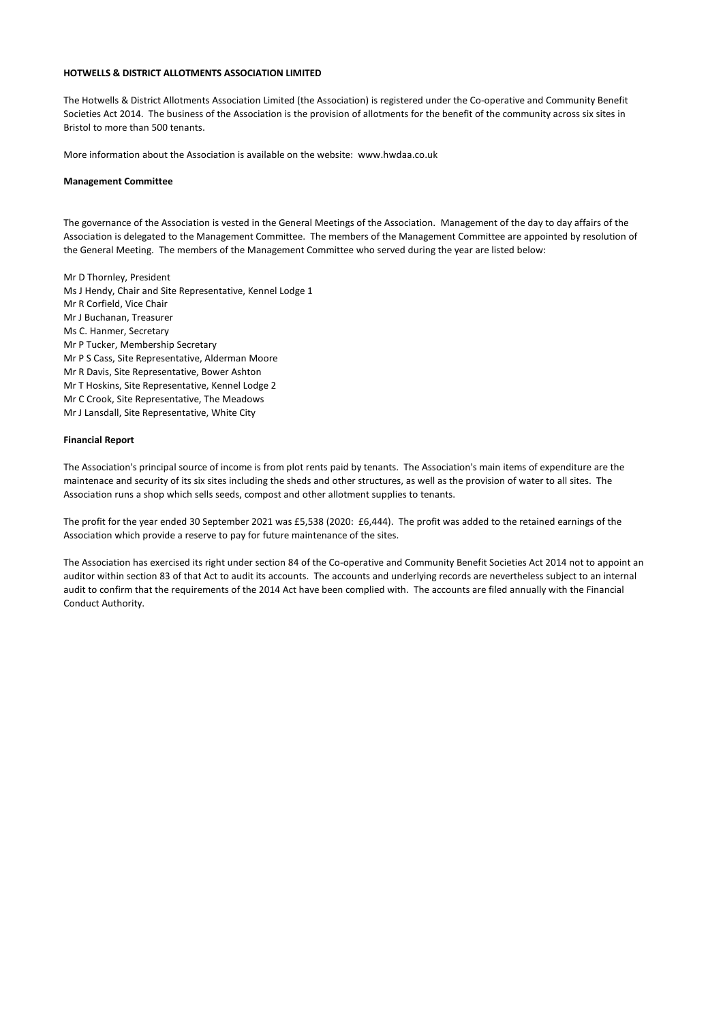### **HOTWELLS & DISTRICT ALLOTMENTS ASSOCIATION LIMITED**

The Hotwells & District Allotments Association Limited (the Association) is registered under the Co-operative and Community Benefit Societies Act 2014. The business of the Association is the provision of allotments for the benefit of the community across six sites in Bristol to more than 500 tenants.

More information about the Association is available on the website: www.hwdaa.co.uk

#### **Management Committee**

The governance of the Association is vested in the General Meetings of the Association. Management of the day to day affairs of the Association is delegated to the Management Committee. The members of the Management Committee are appointed by resolution of the General Meeting. The members of the Management Committee who served during the year are listed below:

Mr D Thornley, President Ms J Hendy, Chair and Site Representative, Kennel Lodge 1 Mr R Corfield, Vice Chair Mr J Buchanan, Treasurer Ms C. Hanmer, Secretary Mr P Tucker, Membership Secretary Mr P S Cass, Site Representative, Alderman Moore Mr R Davis, Site Representative, Bower Ashton Mr T Hoskins, Site Representative, Kennel Lodge 2 Mr C Crook, Site Representative, The Meadows Mr J Lansdall, Site Representative, White City

#### **Financial Report**

The Association's principal source of income is from plot rents paid by tenants. The Association's main items of expenditure are the maintenace and security of its six sites including the sheds and other structures, as well as the provision of water to all sites. The Association runs a shop which sells seeds, compost and other allotment supplies to tenants.

The profit for the year ended 30 September 2021 was £5,538 (2020: £6,444). The profit was added to the retained earnings of the Association which provide a reserve to pay for future maintenance of the sites.

The Association has exercised its right under section 84 of the Co-operative and Community Benefit Societies Act 2014 not to appoint an auditor within section 83 of that Act to audit its accounts. The accounts and underlying records are nevertheless subject to an internal audit to confirm that the requirements of the 2014 Act have been complied with. The accounts are filed annually with the Financial Conduct Authority.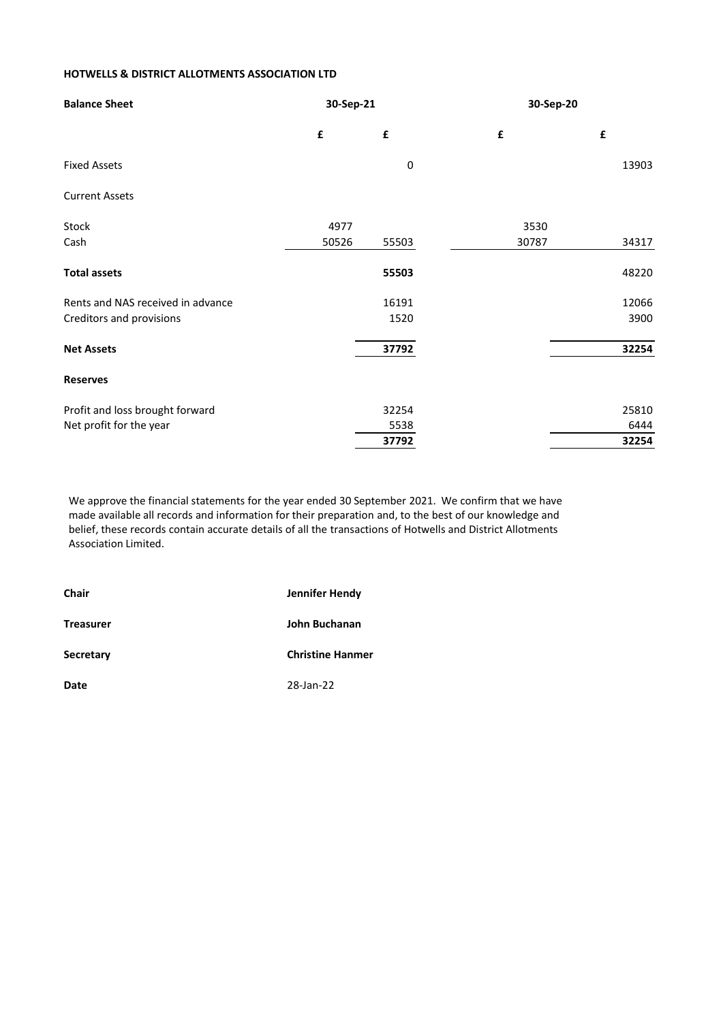# **HOTWELLS & DISTRICT ALLOTMENTS ASSOCIATION LTD**

| <b>Balance Sheet</b>              | 30-Sep-21          |             |       | 30-Sep-20 |  |  |
|-----------------------------------|--------------------|-------------|-------|-----------|--|--|
|                                   | $\pmb{\mathsf{f}}$ | £           | £     | £         |  |  |
| <b>Fixed Assets</b>               |                    | $\mathbf 0$ |       | 13903     |  |  |
| <b>Current Assets</b>             |                    |             |       |           |  |  |
| Stock                             | 4977               |             | 3530  |           |  |  |
| Cash                              | 50526              | 55503       | 30787 | 34317     |  |  |
| <b>Total assets</b>               |                    | 55503       |       | 48220     |  |  |
| Rents and NAS received in advance |                    | 16191       |       | 12066     |  |  |
| Creditors and provisions          |                    | 1520        |       | 3900      |  |  |
| <b>Net Assets</b>                 |                    | 37792       |       | 32254     |  |  |
| <b>Reserves</b>                   |                    |             |       |           |  |  |
| Profit and loss brought forward   |                    | 32254       |       | 25810     |  |  |
| Net profit for the year           |                    | 5538        |       | 6444      |  |  |
|                                   |                    | 37792       |       | 32254     |  |  |

We approve the financial statements for the year ended 30 September 2021. We confirm that we have made available all records and information for their preparation and, to the best of our knowledge and belief, these records contain accurate details of all the transactions of Hotwells and District Allotments Association Limited.

| <b>Chair</b>     | Jennifer Hendy          |  |  |
|------------------|-------------------------|--|--|
| <b>Treasurer</b> | John Buchanan           |  |  |
| <b>Secretary</b> | <b>Christine Hanmer</b> |  |  |
| Date             | 28-Jan-22               |  |  |